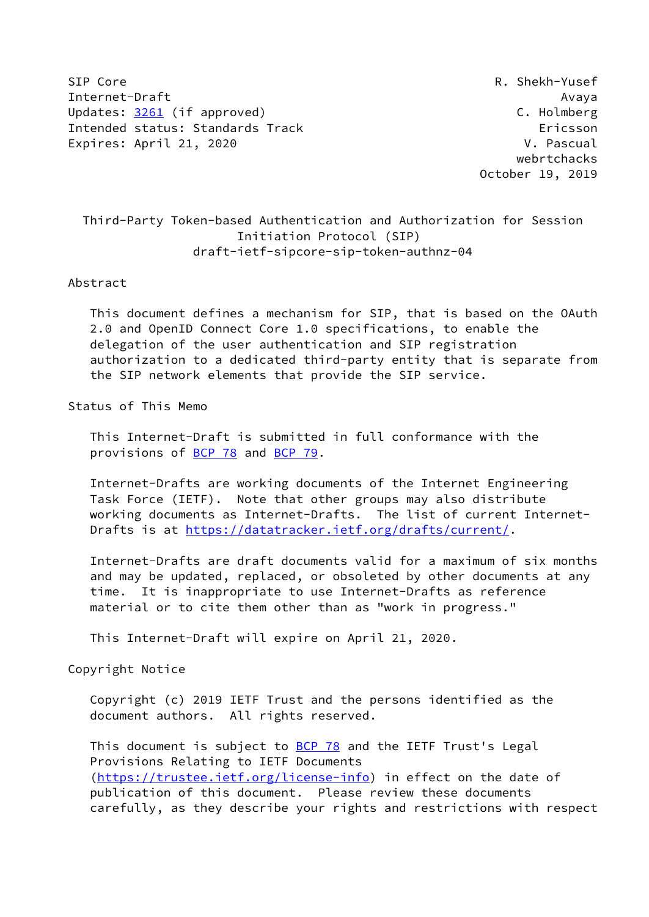SIP Core R. Shekh-Yusef Internet-Draft Avaya Updates: [3261](https://datatracker.ietf.org/doc/pdf/rfc3261) (if approved) C. Holmberg Intended status: Standards Track Ericsson Expires: April 21, 2020 V. Pascual

 webrtchacks October 19, 2019

# Third-Party Token-based Authentication and Authorization for Session Initiation Protocol (SIP) draft-ietf-sipcore-sip-token-authnz-04

#### Abstract

 This document defines a mechanism for SIP, that is based on the OAuth 2.0 and OpenID Connect Core 1.0 specifications, to enable the delegation of the user authentication and SIP registration authorization to a dedicated third-party entity that is separate from the SIP network elements that provide the SIP service.

# Status of This Memo

 This Internet-Draft is submitted in full conformance with the provisions of [BCP 78](https://datatracker.ietf.org/doc/pdf/bcp78) and [BCP 79](https://datatracker.ietf.org/doc/pdf/bcp79).

 Internet-Drafts are working documents of the Internet Engineering Task Force (IETF). Note that other groups may also distribute working documents as Internet-Drafts. The list of current Internet- Drafts is at<https://datatracker.ietf.org/drafts/current/>.

 Internet-Drafts are draft documents valid for a maximum of six months and may be updated, replaced, or obsoleted by other documents at any time. It is inappropriate to use Internet-Drafts as reference material or to cite them other than as "work in progress."

This Internet-Draft will expire on April 21, 2020.

Copyright Notice

 Copyright (c) 2019 IETF Trust and the persons identified as the document authors. All rights reserved.

This document is subject to **[BCP 78](https://datatracker.ietf.org/doc/pdf/bcp78)** and the IETF Trust's Legal Provisions Relating to IETF Documents [\(https://trustee.ietf.org/license-info](https://trustee.ietf.org/license-info)) in effect on the date of publication of this document. Please review these documents carefully, as they describe your rights and restrictions with respect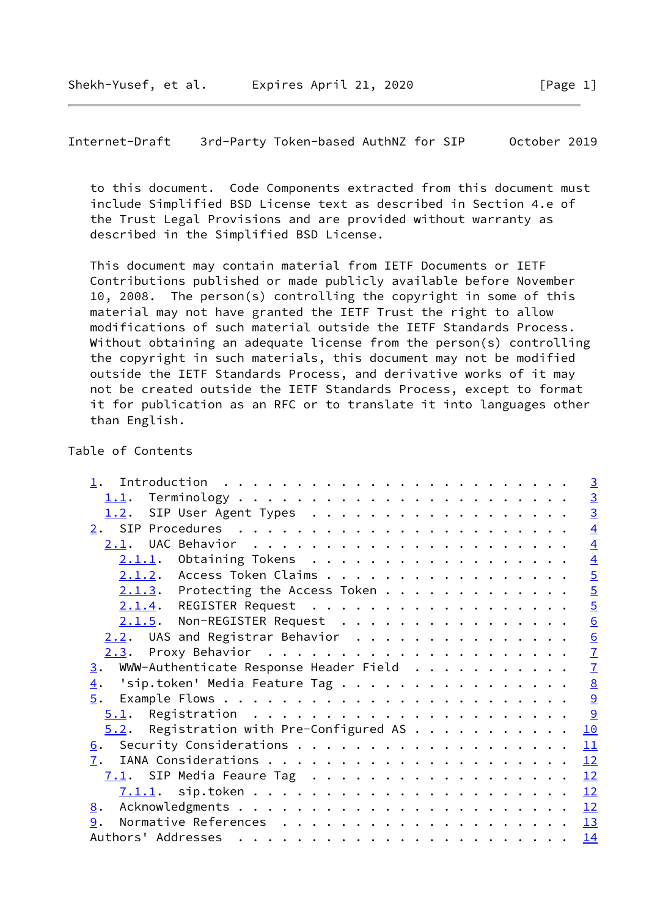Internet-Draft 3rd-Party Token-based AuthNZ for SIP October 2019

 to this document. Code Components extracted from this document must include Simplified BSD License text as described in Section 4.e of the Trust Legal Provisions and are provided without warranty as described in the Simplified BSD License.

 This document may contain material from IETF Documents or IETF Contributions published or made publicly available before November 10, 2008. The person(s) controlling the copyright in some of this material may not have granted the IETF Trust the right to allow modifications of such material outside the IETF Standards Process. Without obtaining an adequate license from the person(s) controlling the copyright in such materials, this document may not be modified outside the IETF Standards Process, and derivative works of it may not be created outside the IETF Standards Process, except to format it for publication as an RFC or to translate it into languages other than English.

#### Table of Contents

|                                                            | $\overline{3}$  |
|------------------------------------------------------------|-----------------|
|                                                            |                 |
| 1.2. SIP User Agent Types                                  | $\frac{3}{3}$   |
| 2.                                                         | $\overline{4}$  |
|                                                            | $\overline{4}$  |
| $2.1.1.$ Obtaining Tokens                                  |                 |
| 2.1.2. Access Token Claims                                 | $\frac{4}{5}$   |
| $2.1.3$ . Protecting the Access Token                      | $\overline{5}$  |
| 2.1.4. REGISTER Request                                    | $\overline{5}$  |
| 2.1.5. Non-REGISTER Request                                | 6               |
| $2.2$ . UAS and Registrar Behavior                         |                 |
|                                                            | $\frac{6}{7}$   |
| WWW-Authenticate Response Header Field<br>3.               | $\overline{1}$  |
| 'sip.token' Media Feature Tag $\ldots$<br>$\overline{4}$ . | $\underline{8}$ |
|                                                            | 9               |
|                                                            | 9               |
| $5.2$ . Registration with Pre-Configured AS                | 10              |
|                                                            | 11              |
| 7.                                                         | 12              |
|                                                            | 12              |
|                                                            | 12              |
| 8.                                                         |                 |
| 9.                                                         |                 |
|                                                            | 14              |
|                                                            |                 |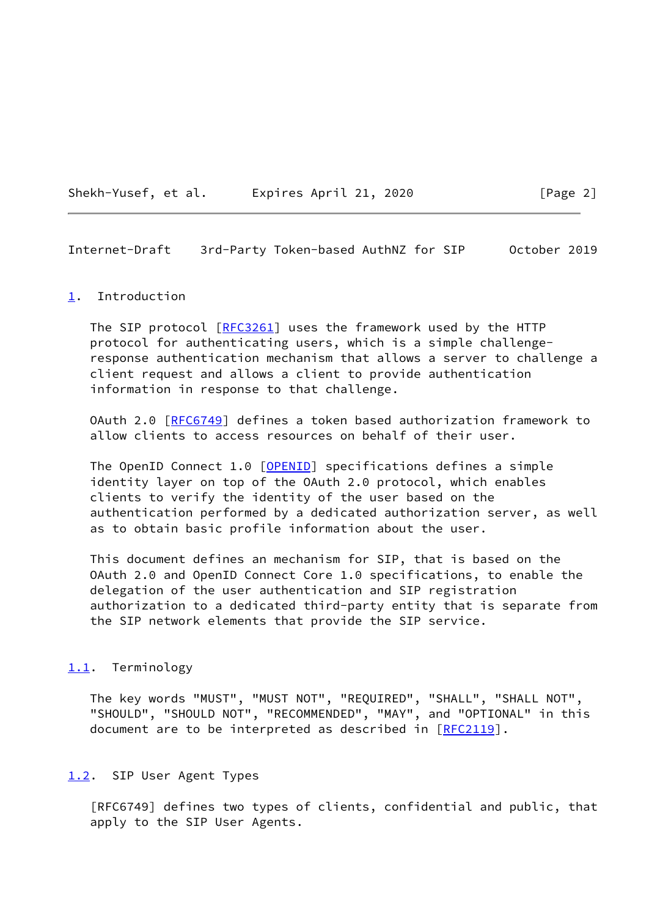Shekh-Yusef, et al. Expires April 21, 2020 [Page 2]

<span id="page-2-1"></span>Internet-Draft 3rd-Party Token-based AuthNZ for SIP October 2019

#### <span id="page-2-0"></span>[1](#page-2-0). Introduction

The SIP protocol [\[RFC3261](https://datatracker.ietf.org/doc/pdf/rfc3261)] uses the framework used by the HTTP protocol for authenticating users, which is a simple challenge response authentication mechanism that allows a server to challenge a client request and allows a client to provide authentication information in response to that challenge.

 OAuth 2.0 [[RFC6749](https://datatracker.ietf.org/doc/pdf/rfc6749)] defines a token based authorization framework to allow clients to access resources on behalf of their user.

The OpenID Connect 1.0 [\[OPENID](#page-13-3)] specifications defines a simple identity layer on top of the OAuth 2.0 protocol, which enables clients to verify the identity of the user based on the authentication performed by a dedicated authorization server, as well as to obtain basic profile information about the user.

 This document defines an mechanism for SIP, that is based on the OAuth 2.0 and OpenID Connect Core 1.0 specifications, to enable the delegation of the user authentication and SIP registration authorization to a dedicated third-party entity that is separate from the SIP network elements that provide the SIP service.

### <span id="page-2-2"></span>[1.1](#page-2-2). Terminology

 The key words "MUST", "MUST NOT", "REQUIRED", "SHALL", "SHALL NOT", "SHOULD", "SHOULD NOT", "RECOMMENDED", "MAY", and "OPTIONAL" in this document are to be interpreted as described in [\[RFC2119](https://datatracker.ietf.org/doc/pdf/rfc2119)].

#### <span id="page-2-3"></span>[1.2](#page-2-3). SIP User Agent Types

 [RFC6749] defines two types of clients, confidential and public, that apply to the SIP User Agents.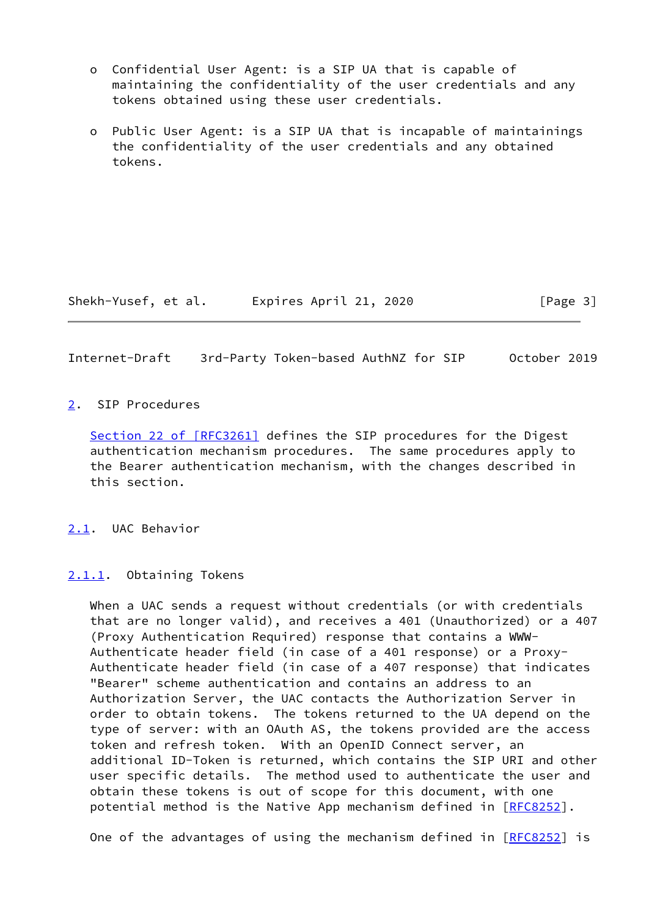- o Confidential User Agent: is a SIP UA that is capable of maintaining the confidentiality of the user credentials and any tokens obtained using these user credentials.
- o Public User Agent: is a SIP UA that is incapable of maintainings the confidentiality of the user credentials and any obtained tokens.

Shekh-Yusef, et al. Expires April 21, 2020 [Page 3]

<span id="page-3-1"></span>Internet-Draft 3rd-Party Token-based AuthNZ for SIP October 2019

### <span id="page-3-0"></span>[2](#page-3-0). SIP Procedures

Section [22 of \[RFC3261\]](https://datatracker.ietf.org/doc/pdf/rfc3261#section-22) defines the SIP procedures for the Digest authentication mechanism procedures. The same procedures apply to the Bearer authentication mechanism, with the changes described in this section.

<span id="page-3-2"></span>[2.1](#page-3-2). UAC Behavior

<span id="page-3-3"></span>[2.1.1](#page-3-3). Obtaining Tokens

 When a UAC sends a request without credentials (or with credentials that are no longer valid), and receives a 401 (Unauthorized) or a 407 (Proxy Authentication Required) response that contains a WWW- Authenticate header field (in case of a 401 response) or a Proxy- Authenticate header field (in case of a 407 response) that indicates "Bearer" scheme authentication and contains an address to an Authorization Server, the UAC contacts the Authorization Server in order to obtain tokens. The tokens returned to the UA depend on the type of server: with an OAuth AS, the tokens provided are the access token and refresh token. With an OpenID Connect server, an additional ID-Token is returned, which contains the SIP URI and other user specific details. The method used to authenticate the user and obtain these tokens is out of scope for this document, with one potential method is the Native App mechanism defined in [\[RFC8252](https://datatracker.ietf.org/doc/pdf/rfc8252)].

One of the advantages of using the mechanism defined in [\[RFC8252](https://datatracker.ietf.org/doc/pdf/rfc8252)] is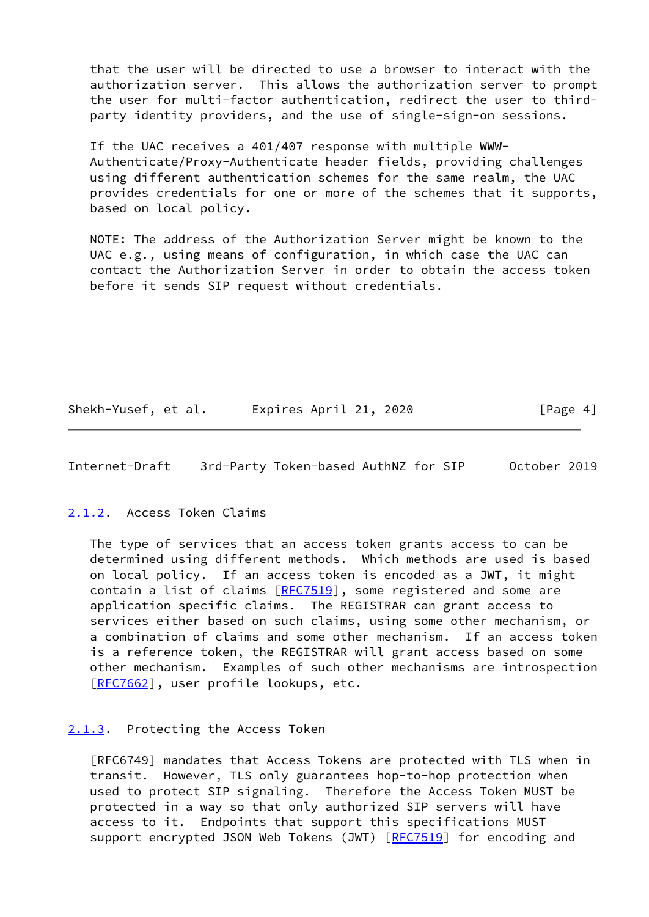that the user will be directed to use a browser to interact with the authorization server. This allows the authorization server to prompt the user for multi-factor authentication, redirect the user to third party identity providers, and the use of single-sign-on sessions.

 If the UAC receives a 401/407 response with multiple WWW- Authenticate/Proxy-Authenticate header fields, providing challenges using different authentication schemes for the same realm, the UAC provides credentials for one or more of the schemes that it supports, based on local policy.

 NOTE: The address of the Authorization Server might be known to the UAC e.g., using means of configuration, in which case the UAC can contact the Authorization Server in order to obtain the access token before it sends SIP request without credentials.

Shekh-Yusef, et al. Expires April 21, 2020 [Page 4]

<span id="page-4-1"></span>Internet-Draft 3rd-Party Token-based AuthNZ for SIP October 2019

### <span id="page-4-0"></span>[2.1.2](#page-4-0). Access Token Claims

 The type of services that an access token grants access to can be determined using different methods. Which methods are used is based on local policy. If an access token is encoded as a JWT, it might contain a list of claims [\[RFC7519](https://datatracker.ietf.org/doc/pdf/rfc7519)], some registered and some are application specific claims. The REGISTRAR can grant access to services either based on such claims, using some other mechanism, or a combination of claims and some other mechanism. If an access token is a reference token, the REGISTRAR will grant access based on some other mechanism. Examples of such other mechanisms are introspection [\[RFC7662](https://datatracker.ietf.org/doc/pdf/rfc7662)], user profile lookups, etc.

### <span id="page-4-2"></span>[2.1.3](#page-4-2). Protecting the Access Token

 [RFC6749] mandates that Access Tokens are protected with TLS when in transit. However, TLS only guarantees hop-to-hop protection when used to protect SIP signaling. Therefore the Access Token MUST be protected in a way so that only authorized SIP servers will have access to it. Endpoints that support this specifications MUST support encrypted JSON Web Tokens (JWT) [\[RFC7519](https://datatracker.ietf.org/doc/pdf/rfc7519)] for encoding and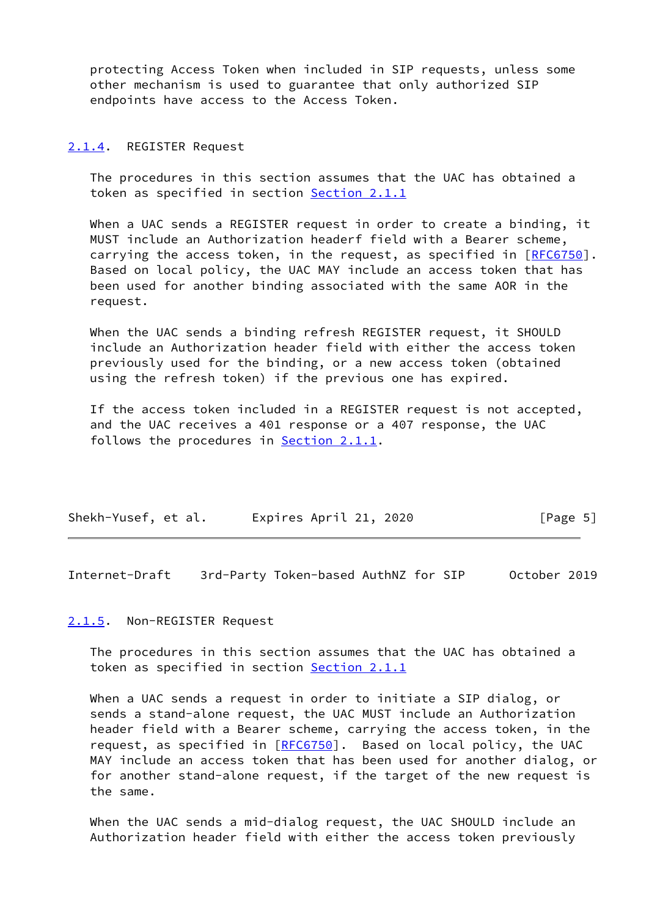protecting Access Token when included in SIP requests, unless some other mechanism is used to guarantee that only authorized SIP endpoints have access to the Access Token.

#### <span id="page-5-0"></span>[2.1.4](#page-5-0). REGISTER Request

 The procedures in this section assumes that the UAC has obtained a token as specified in section [Section 2.1.1](#page-3-3)

 When a UAC sends a REGISTER request in order to create a binding, it MUST include an Authorization headerf field with a Bearer scheme, carrying the access token, in the request, as specified in [[RFC6750\]](https://datatracker.ietf.org/doc/pdf/rfc6750). Based on local policy, the UAC MAY include an access token that has been used for another binding associated with the same AOR in the request.

 When the UAC sends a binding refresh REGISTER request, it SHOULD include an Authorization header field with either the access token previously used for the binding, or a new access token (obtained using the refresh token) if the previous one has expired.

 If the access token included in a REGISTER request is not accepted, and the UAC receives a 401 response or a 407 response, the UAC follows the procedures in  $Section 2.1.1$ .

| Shekh-Yusef, et al. | Expires April 21, 2020 | [Page 5] |
|---------------------|------------------------|----------|
|---------------------|------------------------|----------|

<span id="page-5-2"></span>Internet-Draft 3rd-Party Token-based AuthNZ for SIP October 2019

#### <span id="page-5-1"></span>[2.1.5](#page-5-1). Non-REGISTER Request

 The procedures in this section assumes that the UAC has obtained a token as specified in section [Section 2.1.1](#page-3-3)

 When a UAC sends a request in order to initiate a SIP dialog, or sends a stand-alone request, the UAC MUST include an Authorization header field with a Bearer scheme, carrying the access token, in the request, as specified in [\[RFC6750](https://datatracker.ietf.org/doc/pdf/rfc6750)]. Based on local policy, the UAC MAY include an access token that has been used for another dialog, or for another stand-alone request, if the target of the new request is the same.

 When the UAC sends a mid-dialog request, the UAC SHOULD include an Authorization header field with either the access token previously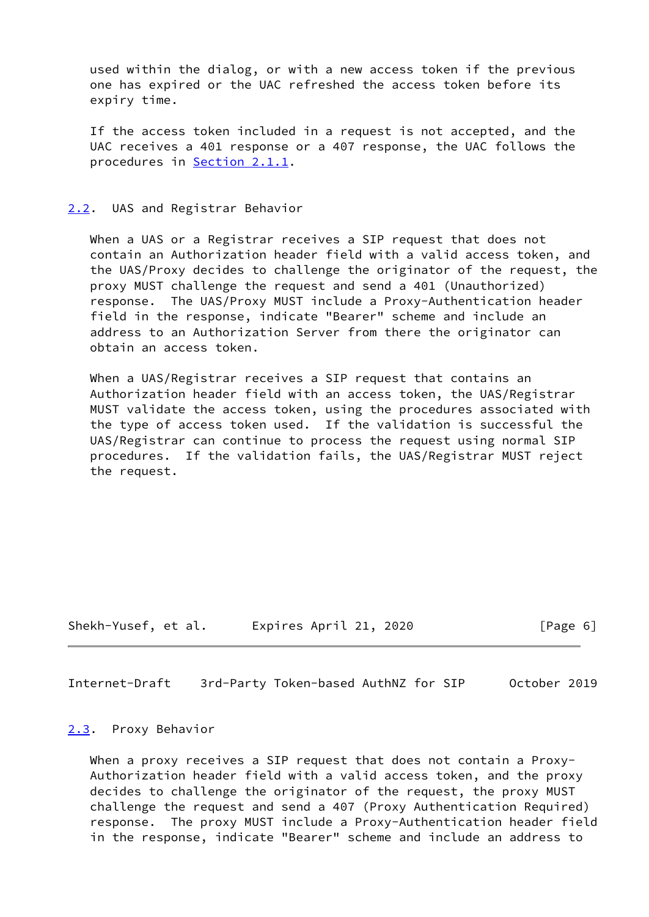used within the dialog, or with a new access token if the previous one has expired or the UAC refreshed the access token before its expiry time.

 If the access token included in a request is not accepted, and the UAC receives a 401 response or a 407 response, the UAC follows the procedures in **Section 2.1.1.** 

#### <span id="page-6-0"></span>[2.2](#page-6-0). UAS and Registrar Behavior

 When a UAS or a Registrar receives a SIP request that does not contain an Authorization header field with a valid access token, and the UAS/Proxy decides to challenge the originator of the request, the proxy MUST challenge the request and send a 401 (Unauthorized) response. The UAS/Proxy MUST include a Proxy-Authentication header field in the response, indicate "Bearer" scheme and include an address to an Authorization Server from there the originator can obtain an access token.

 When a UAS/Registrar receives a SIP request that contains an Authorization header field with an access token, the UAS/Registrar MUST validate the access token, using the procedures associated with the type of access token used. If the validation is successful the UAS/Registrar can continue to process the request using normal SIP procedures. If the validation fails, the UAS/Registrar MUST reject the request.

Shekh-Yusef, et al. Expires April 21, 2020 [Page 6]

<span id="page-6-2"></span>Internet-Draft 3rd-Party Token-based AuthNZ for SIP October 2019

#### <span id="page-6-1"></span>[2.3](#page-6-1). Proxy Behavior

When a proxy receives a SIP request that does not contain a Proxy- Authorization header field with a valid access token, and the proxy decides to challenge the originator of the request, the proxy MUST challenge the request and send a 407 (Proxy Authentication Required) response. The proxy MUST include a Proxy-Authentication header field in the response, indicate "Bearer" scheme and include an address to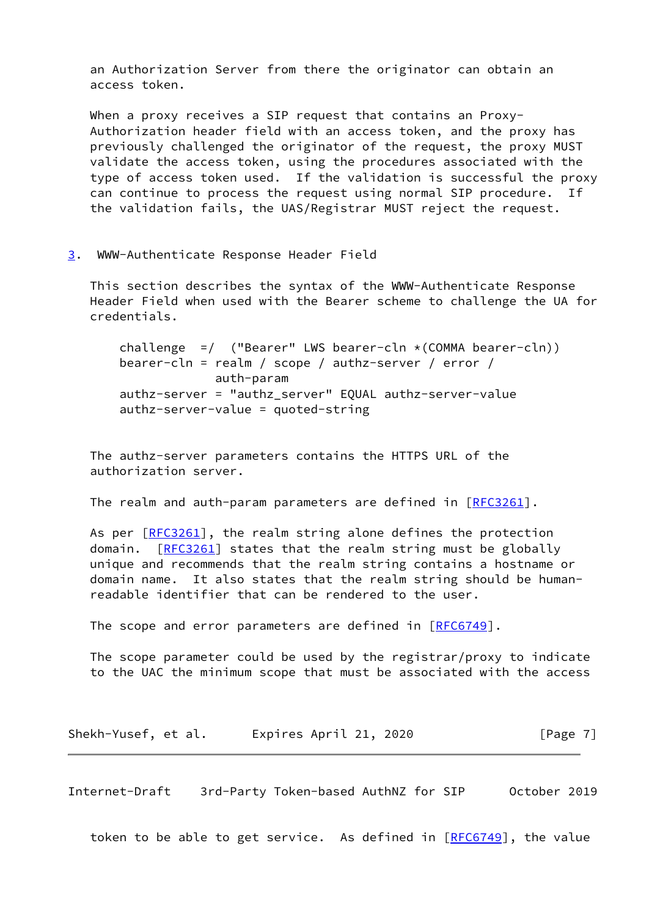an Authorization Server from there the originator can obtain an access token.

When a proxy receives a SIP request that contains an Proxy- Authorization header field with an access token, and the proxy has previously challenged the originator of the request, the proxy MUST validate the access token, using the procedures associated with the type of access token used. If the validation is successful the proxy can continue to process the request using normal SIP procedure. If the validation fails, the UAS/Registrar MUST reject the request.

<span id="page-7-0"></span>[3](#page-7-0). WWW-Authenticate Response Header Field

 This section describes the syntax of the WWW-Authenticate Response Header Field when used with the Bearer scheme to challenge the UA for credentials.

challenge =/ ("Bearer" LWS bearer-cln  $*(COMMA\ bearer-cln))$  bearer-cln = realm / scope / authz-server / error / auth-param authz-server = "authz\_server" EQUAL authz-server-value authz-server-value = quoted-string

 The authz-server parameters contains the HTTPS URL of the authorization server.

The realm and auth-param parameters are defined in [[RFC3261\]](https://datatracker.ietf.org/doc/pdf/rfc3261).

As per [\[RFC3261](https://datatracker.ietf.org/doc/pdf/rfc3261)], the realm string alone defines the protection domain. [\[RFC3261](https://datatracker.ietf.org/doc/pdf/rfc3261)] states that the realm string must be globally unique and recommends that the realm string contains a hostname or domain name. It also states that the realm string should be human readable identifier that can be rendered to the user.

The scope and error parameters are defined in [[RFC6749](https://datatracker.ietf.org/doc/pdf/rfc6749)].

 The scope parameter could be used by the registrar/proxy to indicate to the UAC the minimum scope that must be associated with the access

Shekh-Yusef, et al. Expires April 21, 2020 [Page 7]

<span id="page-7-1"></span>Internet-Draft 3rd-Party Token-based AuthNZ for SIP October 2019

token to be able to get service. As defined in [\[RFC6749](https://datatracker.ietf.org/doc/pdf/rfc6749)], the value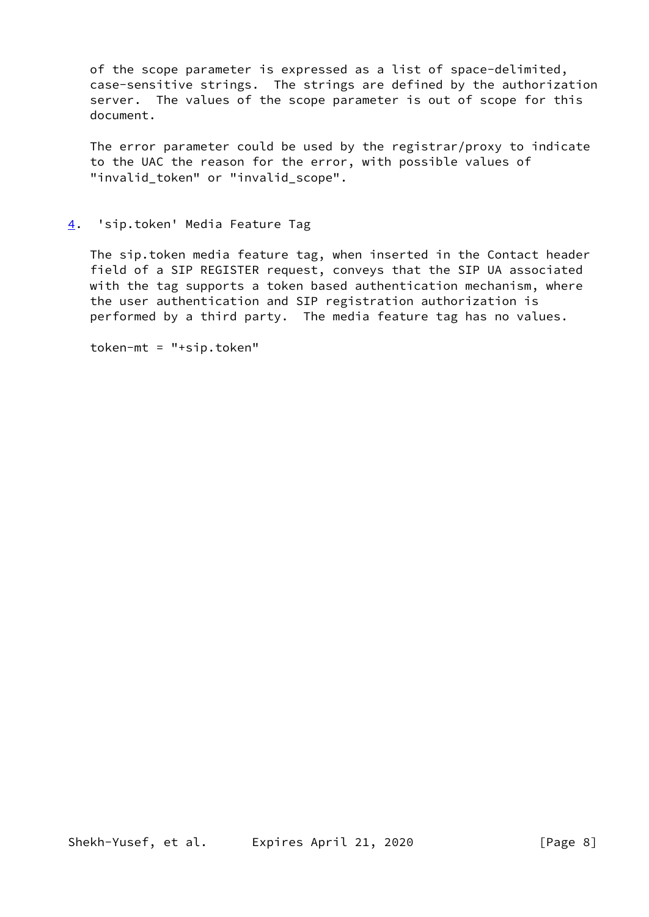of the scope parameter is expressed as a list of space-delimited, case-sensitive strings. The strings are defined by the authorization server. The values of the scope parameter is out of scope for this document.

 The error parameter could be used by the registrar/proxy to indicate to the UAC the reason for the error, with possible values of "invalid\_token" or "invalid\_scope".

# <span id="page-8-0"></span>[4](#page-8-0). 'sip.token' Media Feature Tag

 The sip.token media feature tag, when inserted in the Contact header field of a SIP REGISTER request, conveys that the SIP UA associated with the tag supports a token based authentication mechanism, where the user authentication and SIP registration authorization is performed by a third party. The media feature tag has no values.

token-mt = "+sip.token"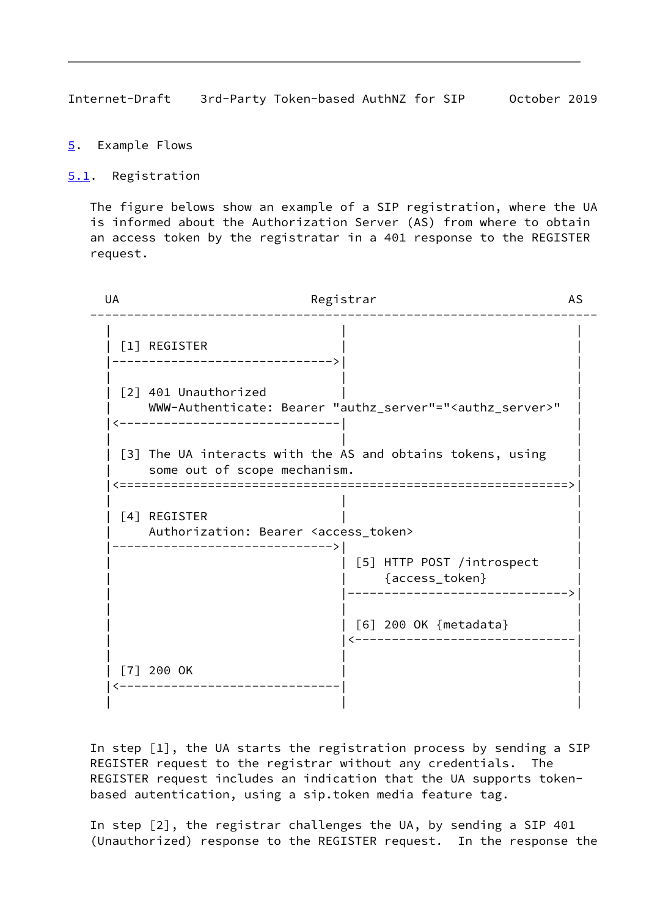<span id="page-9-1"></span>Internet-Draft 3rd-Party Token-based AuthNZ for SIP October 2019

- <span id="page-9-0"></span>[5](#page-9-0). Example Flows
- <span id="page-9-2"></span>[5.1](#page-9-2). Registration

 The figure belows show an example of a SIP registration, where the UA is informed about the Authorization Server (AS) from where to obtain an access token by the registratar in a 401 response to the REGISTER request.

| UA | Registrar                                                           |                                                                          | <b>AS</b> |
|----|---------------------------------------------------------------------|--------------------------------------------------------------------------|-----------|
|    | [1] REGISTER                                                        |                                                                          |           |
|    | [2] 401 Unauthorized                                                | WWW-Authenticate: Bearer "authz_server"=" <authz_server>"</authz_server> |           |
|    | some out of scope mechanism.                                        | [3] The UA interacts with the AS and obtains tokens, using               |           |
|    | [4] REGISTER<br>Authorization: Bearer <access_token></access_token> |                                                                          |           |
|    |                                                                     | [5] HTTP POST /introspect<br>{access_token}                              |           |
|    |                                                                     | [6] 200 OK {metadata}                                                    |           |
|    | $[7]$ 200 OK                                                        |                                                                          |           |

 In step [1], the UA starts the registration process by sending a SIP REGISTER request to the registrar without any credentials. The REGISTER request includes an indication that the UA supports token based autentication, using a sip.token media feature tag.

 In step [2], the registrar challenges the UA, by sending a SIP 401 (Unauthorized) response to the REGISTER request. In the response the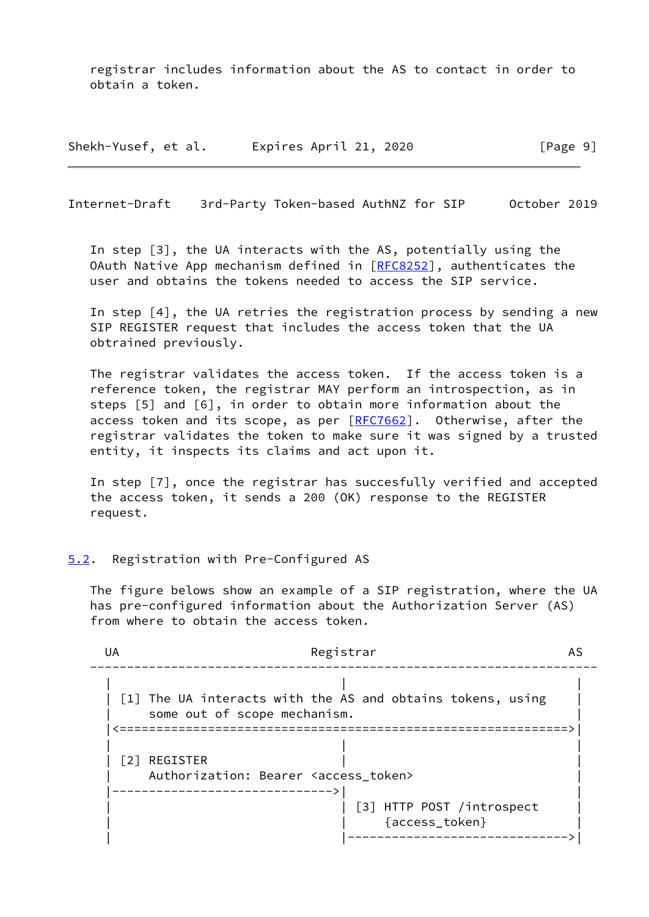registrar includes information about the AS to contact in order to obtain a token.

Shekh-Yusef, et al. Expires April 21, 2020 [Page 9]

<span id="page-10-1"></span>Internet-Draft 3rd-Party Token-based AuthNZ for SIP October 2019

 In step [3], the UA interacts with the AS, potentially using the OAuth Native App mechanism defined in [[RFC8252](https://datatracker.ietf.org/doc/pdf/rfc8252)], authenticates the user and obtains the tokens needed to access the SIP service.

 In step [4], the UA retries the registration process by sending a new SIP REGISTER request that includes the access token that the UA obtrained previously.

 The registrar validates the access token. If the access token is a reference token, the registrar MAY perform an introspection, as in steps [5] and [6], in order to obtain more information about the access token and its scope, as per  $[REC7662]$ . Otherwise, after the registrar validates the token to make sure it was signed by a trusted entity, it inspects its claims and act upon it.

 In step [7], once the registrar has succesfully verified and accepted the access token, it sends a 200 (OK) response to the REGISTER request.

### <span id="page-10-0"></span>[5.2](#page-10-0). Registration with Pre-Configured AS

 The figure belows show an example of a SIP registration, where the UA has pre-configured information about the Authorization Server (AS) from where to obtain the access token.

| UA | Registrar                                                                                  | AS |
|----|--------------------------------------------------------------------------------------------|----|
|    | [1] The UA interacts with the AS and obtains tokens, using<br>some out of scope mechanism. |    |
|    |                                                                                            |    |
|    | [2] REGISTER                                                                               |    |
|    | Authorization: Bearer <access_token></access_token>                                        |    |
|    | [3] HTTP POST /introspect<br>{access_token}                                                |    |
|    |                                                                                            |    |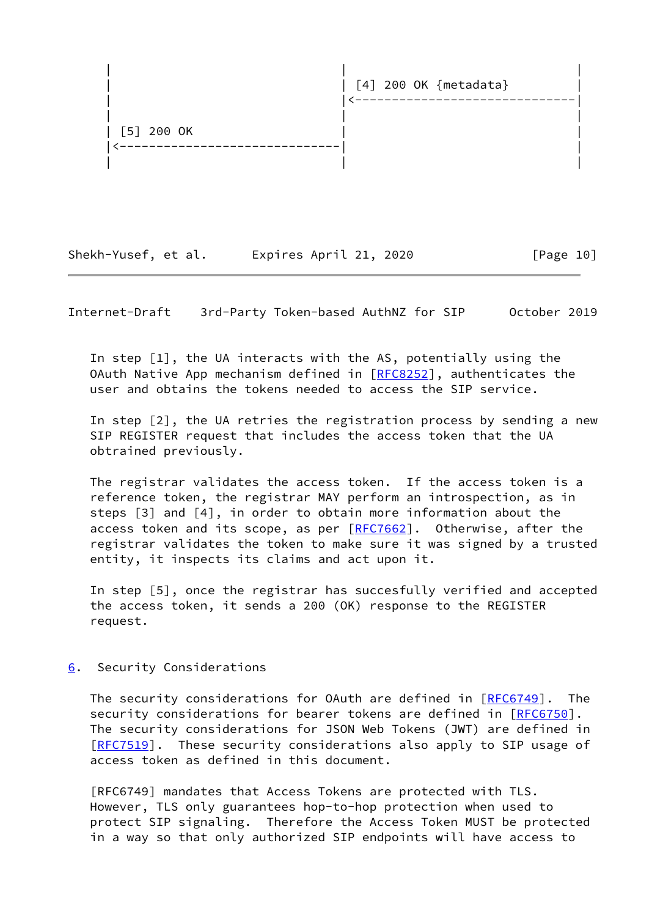

Shekh-Yusef, et al. Expires April 21, 2020 [Page 10]

<span id="page-11-1"></span>Internet-Draft 3rd-Party Token-based AuthNZ for SIP October 2019

 In step [1], the UA interacts with the AS, potentially using the OAuth Native App mechanism defined in [[RFC8252](https://datatracker.ietf.org/doc/pdf/rfc8252)], authenticates the user and obtains the tokens needed to access the SIP service.

 In step [2], the UA retries the registration process by sending a new SIP REGISTER request that includes the access token that the UA obtrained previously.

 The registrar validates the access token. If the access token is a reference token, the registrar MAY perform an introspection, as in steps [3] and [4], in order to obtain more information about the access token and its scope, as per [[RFC7662\]](https://datatracker.ietf.org/doc/pdf/rfc7662). Otherwise, after the registrar validates the token to make sure it was signed by a trusted entity, it inspects its claims and act upon it.

 In step [5], once the registrar has succesfully verified and accepted the access token, it sends a 200 (OK) response to the REGISTER request.

<span id="page-11-0"></span>[6](#page-11-0). Security Considerations

The security considerations for OAuth are defined in [\[RFC6749](https://datatracker.ietf.org/doc/pdf/rfc6749)]. The security considerations for bearer tokens are defined in [\[RFC6750](https://datatracker.ietf.org/doc/pdf/rfc6750)]. The security considerations for JSON Web Tokens (JWT) are defined in [\[RFC7519](https://datatracker.ietf.org/doc/pdf/rfc7519)]. These security considerations also apply to SIP usage of access token as defined in this document.

 [RFC6749] mandates that Access Tokens are protected with TLS. However, TLS only guarantees hop-to-hop protection when used to protect SIP signaling. Therefore the Access Token MUST be protected in a way so that only authorized SIP endpoints will have access to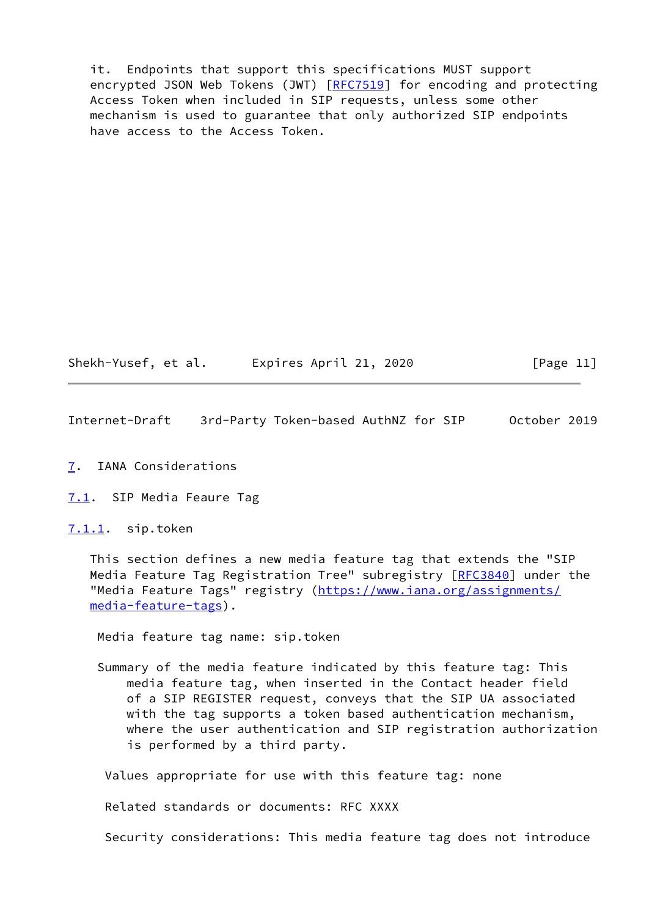it. Endpoints that support this specifications MUST support encrypted JSON Web Tokens (JWT) [\[RFC7519](https://datatracker.ietf.org/doc/pdf/rfc7519)] for encoding and protecting Access Token when included in SIP requests, unless some other mechanism is used to guarantee that only authorized SIP endpoints have access to the Access Token.

Shekh-Yusef, et al. Expires April 21, 2020 [Page 11]

<span id="page-12-1"></span>Internet-Draft 3rd-Party Token-based AuthNZ for SIP October 2019

<span id="page-12-0"></span>[7](#page-12-0). IANA Considerations

<span id="page-12-2"></span>[7.1](#page-12-2). SIP Media Feaure Tag

<span id="page-12-3"></span>[7.1.1](#page-12-3). sip.token

 This section defines a new media feature tag that extends the "SIP Media Feature Tag Registration Tree" subregistry [\[RFC3840](https://datatracker.ietf.org/doc/pdf/rfc3840)] under the "Media Feature Tags" registry ([https://www.iana.org/assignments/](https://www.iana.org/assignments/media-feature-tags) [media-feature-tags](https://www.iana.org/assignments/media-feature-tags)).

Media feature tag name: sip.token

 Summary of the media feature indicated by this feature tag: This media feature tag, when inserted in the Contact header field of a SIP REGISTER request, conveys that the SIP UA associated with the tag supports a token based authentication mechanism, where the user authentication and SIP registration authorization is performed by a third party.

Values appropriate for use with this feature tag: none

Related standards or documents: RFC XXXX

Security considerations: This media feature tag does not introduce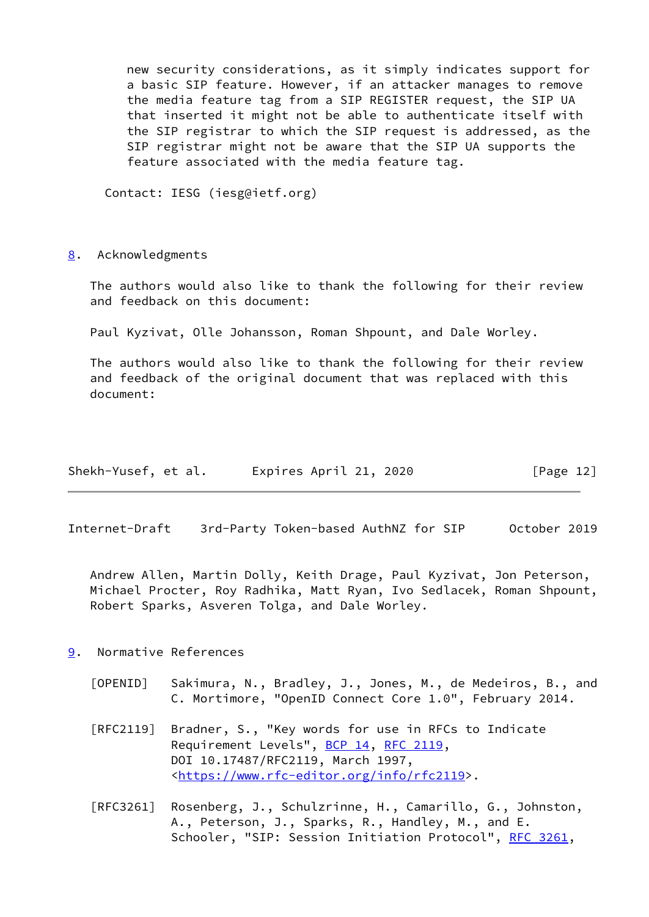new security considerations, as it simply indicates support for a basic SIP feature. However, if an attacker manages to remove the media feature tag from a SIP REGISTER request, the SIP UA that inserted it might not be able to authenticate itself with the SIP registrar to which the SIP request is addressed, as the SIP registrar might not be aware that the SIP UA supports the feature associated with the media feature tag.

Contact: IESG (iesg@ietf.org)

<span id="page-13-0"></span>[8](#page-13-0). Acknowledgments

 The authors would also like to thank the following for their review and feedback on this document:

Paul Kyzivat, Olle Johansson, Roman Shpount, and Dale Worley.

 The authors would also like to thank the following for their review and feedback of the original document that was replaced with this document:

| Shekh-Yusef, et al. | Expires April 21, 2020 | [Page 12] |
|---------------------|------------------------|-----------|
|---------------------|------------------------|-----------|

<span id="page-13-2"></span>Internet-Draft 3rd-Party Token-based AuthNZ for SIP October 2019

 Andrew Allen, Martin Dolly, Keith Drage, Paul Kyzivat, Jon Peterson, Michael Procter, Roy Radhika, Matt Ryan, Ivo Sedlacek, Roman Shpount, Robert Sparks, Asveren Tolga, and Dale Worley.

- <span id="page-13-3"></span><span id="page-13-1"></span>[9](#page-13-1). Normative References
	- [OPENID] Sakimura, N., Bradley, J., Jones, M., de Medeiros, B., and C. Mortimore, "OpenID Connect Core 1.0", February 2014.
	- [RFC2119] Bradner, S., "Key words for use in RFCs to Indicate Requirement Levels", [BCP 14](https://datatracker.ietf.org/doc/pdf/bcp14), [RFC 2119](https://datatracker.ietf.org/doc/pdf/rfc2119), DOI 10.17487/RFC2119, March 1997, <[https://www.rfc-editor.org/info/rfc2119>](https://www.rfc-editor.org/info/rfc2119).
	- [RFC3261] Rosenberg, J., Schulzrinne, H., Camarillo, G., Johnston, A., Peterson, J., Sparks, R., Handley, M., and E. Schooler, "SIP: Session Initiation Protocol", [RFC 3261](https://datatracker.ietf.org/doc/pdf/rfc3261),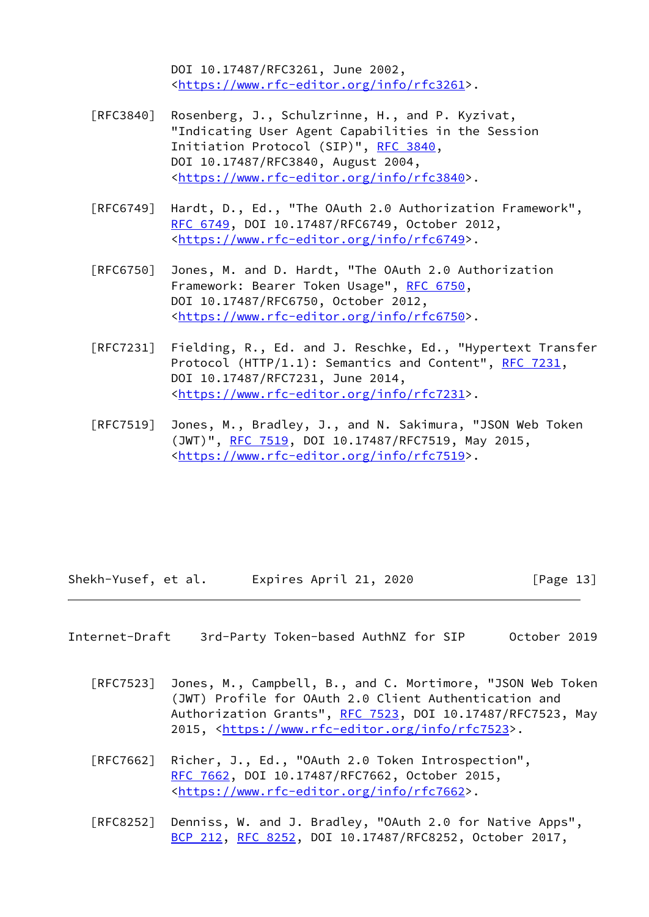DOI 10.17487/RFC3261, June 2002, <[https://www.rfc-editor.org/info/rfc3261>](https://www.rfc-editor.org/info/rfc3261).

- [RFC3840] Rosenberg, J., Schulzrinne, H., and P. Kyzivat, "Indicating User Agent Capabilities in the Session Initiation Protocol (SIP)", [RFC 3840,](https://datatracker.ietf.org/doc/pdf/rfc3840) DOI 10.17487/RFC3840, August 2004, <[https://www.rfc-editor.org/info/rfc3840>](https://www.rfc-editor.org/info/rfc3840).
- [RFC6749] Hardt, D., Ed., "The OAuth 2.0 Authorization Framework", [RFC 6749,](https://datatracker.ietf.org/doc/pdf/rfc6749) DOI 10.17487/RFC6749, October 2012, <[https://www.rfc-editor.org/info/rfc6749>](https://www.rfc-editor.org/info/rfc6749).
- [RFC6750] Jones, M. and D. Hardt, "The OAuth 2.0 Authorization Framework: Bearer Token Usage", [RFC 6750,](https://datatracker.ietf.org/doc/pdf/rfc6750) DOI 10.17487/RFC6750, October 2012, <[https://www.rfc-editor.org/info/rfc6750>](https://www.rfc-editor.org/info/rfc6750).
- [RFC7231] Fielding, R., Ed. and J. Reschke, Ed., "Hypertext Transfer Protocol (HTTP/1.1): Semantics and Content", [RFC 7231](https://datatracker.ietf.org/doc/pdf/rfc7231), DOI 10.17487/RFC7231, June 2014, <[https://www.rfc-editor.org/info/rfc7231>](https://www.rfc-editor.org/info/rfc7231).
- [RFC7519] Jones, M., Bradley, J., and N. Sakimura, "JSON Web Token (JWT)", [RFC 7519,](https://datatracker.ietf.org/doc/pdf/rfc7519) DOI 10.17487/RFC7519, May 2015, <[https://www.rfc-editor.org/info/rfc7519>](https://www.rfc-editor.org/info/rfc7519).

Shekh-Yusef, et al. Expires April 21, 2020 [Page 13]

<span id="page-14-0"></span>Internet-Draft 3rd-Party Token-based AuthNZ for SIP October 2019

- [RFC7523] Jones, M., Campbell, B., and C. Mortimore, "JSON Web Token (JWT) Profile for OAuth 2.0 Client Authentication and Authorization Grants", [RFC 7523](https://datatracker.ietf.org/doc/pdf/rfc7523), DOI 10.17487/RFC7523, May 2015, [<https://www.rfc-editor.org/info/rfc7523](https://www.rfc-editor.org/info/rfc7523)>.
- [RFC7662] Richer, J., Ed., "OAuth 2.0 Token Introspection", [RFC 7662,](https://datatracker.ietf.org/doc/pdf/rfc7662) DOI 10.17487/RFC7662, October 2015, <[https://www.rfc-editor.org/info/rfc7662>](https://www.rfc-editor.org/info/rfc7662).
- [RFC8252] Denniss, W. and J. Bradley, "OAuth 2.0 for Native Apps", [BCP 212](https://datatracker.ietf.org/doc/pdf/bcp212), [RFC 8252,](https://datatracker.ietf.org/doc/pdf/rfc8252) DOI 10.17487/RFC8252, October 2017,